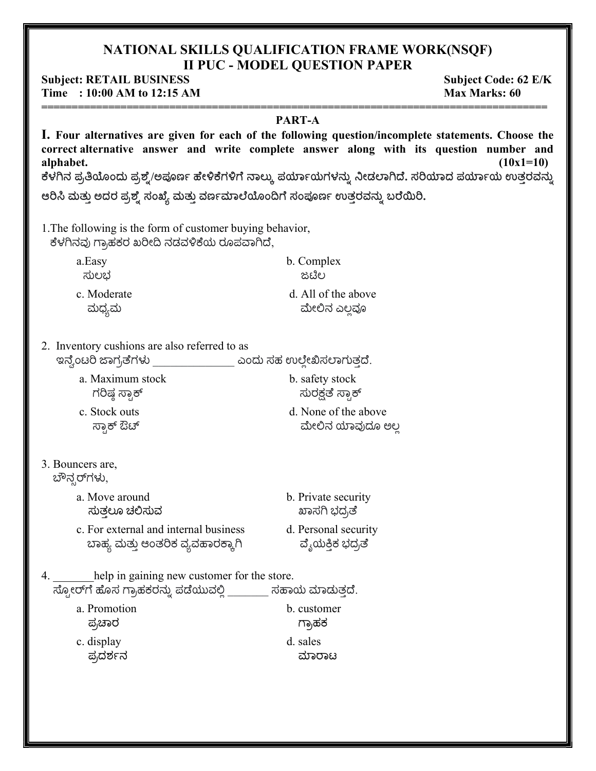### NATIONAL SKILLS QUALIFICATION FRAME WORK(NSQF) **II PUC - MODEL QUESTION PAPER**

#### **Subject: RETAIL BUSINESS** Time : 10:00 AM to 12:15 AM

**Subject Code: 62 E/K Max Marks: 60** 

#### PART-A

I. Four alternatives are given for each of the following question/incomplete statements. Choose the correct alternative answer and write complete answer along with its question number and alphabet.  $(10x1=10)$ ಕೆಳಗಿನ ಪ್ರತಿಯೊಂದು ಪ್ರಶ್ನೆ/ಅಪೂರ್ಣ ಹೇಳಿಕೆಗಳಿಗೆ ನಾಲ್ಕು ಪರ್ಯಾಯಗಳನ್ನು ನೀಡಲಾಗಿದೆ. ಸರಿಯಾದ ಪರ್ಯಾಯ ಉತ್ತರವನ್ನು ಆರಿಸಿ ಮತ್ತು ಅದರ ಪ್ರಶ್ನೆ ಸಂಖ್ಯೆ ಮತ್ತು ವರ್ಣಮಾಲೆಯೊಂದಿಗೆ ಸಂಪೂರ್ಣ ಉತ್ತರವನ್ನು ಬರೆಯಿರಿ.

1. The following is the form of customer buying behavior, ಕೆಳಗಿನವು ಗ್ರಾಹಕರ ಖರೀದಿ ನಡವಳಿಕೆಯ ರೂಪವಾಗಿದೆ,

| a.Easy      | b. Complex          |  |  |
|-------------|---------------------|--|--|
| ಸುಲಭ        | ಜಟಿಲ                |  |  |
| c. Moderate | d. All of the above |  |  |
| ಮಧ್ಯಮ       | ಮೇಲಿನ ಎಲವೂ          |  |  |

2. Inventory cushions are also referred to as

| a. Maximum stock | b. safety stock      |
|------------------|----------------------|
| ಗರಿಷ್ಠ ಸ್ಟಾಕ್    | ಸುರಕ್ಷತೆ ಸ್ರಾಕ್      |
| c. Stock outs    | d. None of the above |
| ಸ್ಪಾಕ್ ಔಚ್       | ಮೇಲಿನ ಯಾವುದೂ ಅಲ್ಲ    |

## 3. Bouncers are,

ಬೌನ್ಸರ್ಗಳು,

- a. Move around ಸುತಲೂ ಚಲಿಸುವ
- c. For external and internal business ಬಾಹ್ಯ ಮತ್ತು ಆಂತರಿಕ ವ್ಯವಹಾರಕ್ಕಾಗಿ
- ಖಾಸಗಿ ಭದ್ರತೆ d. Personal security ವ್ಯೆಯಕ್ತಿಕ ಭದ್ರತೆ

b. Private security

help in gaining new customer for the store.  $\overline{x}$ ್ಟೋರ್ $\overline{r}$ ) ಹೊಸ ಗ್ರಾಹಕರನ್ನು ಪಡೆಯುವಲ್ಲಿ \_\_\_\_\_\_\_\_ ಸಹಾಯ ಮಾಡುತ್ತದೆ. a Promotion h customer

| ಗ್ರಾಹಕ   |
|----------|
| d. sales |
| ಮಾರಾಟ    |
|          |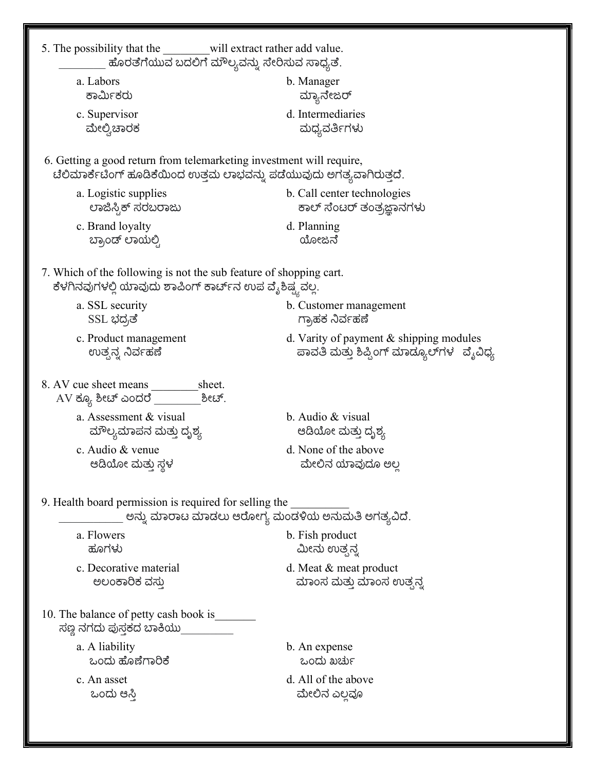| ಹೊರತೆಗೆಯುವ ಬದಲಿಗೆ ಮೌಲ್ಯವನ್ನು ಸೇರಿಸುವ ಸಾಧ್ಯತೆ.                                                                                                 |                                                                                      |
|-----------------------------------------------------------------------------------------------------------------------------------------------|--------------------------------------------------------------------------------------|
| a. Labors                                                                                                                                     | b. Manager                                                                           |
| ಕಾರ್ಮಿಕರು                                                                                                                                     | ಮ್ಯಾನೇಜರ್                                                                            |
| c. Supervisor                                                                                                                                 | d. Intermediaries                                                                    |
| ಮೇಲ್ವಿಚಾರಕ                                                                                                                                    | ಮಧ್ಯವರ್ತಿಗಳು                                                                         |
| 6. Getting a good return from telemarketing investment will require,<br>ಟೆಲಿಮಾರ್ಕೆಟಿಂಗ್ ಹೂಡಿಕೆಯಿಂದ ಉತ್ತಮ ಲಾಭವನ್ನು ಪಡೆಯುವುದು ಅಗತ್ಯವಾಗಿರುತ್ತದೆ. |                                                                                      |
| a. Logistic supplies                                                                                                                          | b. Call center technologies                                                          |
| ಲಾಜಿಸ್ಟಿಕ್ ಸರಬರಾಜು                                                                                                                            | ಕಾಲ್ ಸೆಂಟರ್ ತಂತ್ರಜ್ಞಾನಗಳು                                                            |
| c. Brand loyalty                                                                                                                              | d. Planning                                                                          |
| ಬ್ರಾಂಡ್ ಲಾಯಲ್ಲಿ                                                                                                                               | ಯೋಜನೆ                                                                                |
| 7. Which of the following is not the sub feature of shopping cart.<br>ಕೆಳಗಿನವುಗಳಲ್ಲಿ ಯಾವುದು ಶಾಪಿಂಗ್ ಕಾರ್ಟ್ನ ಉಪ ವೈಶಿಷ್ಟ್ಯವಲ್ಲ.                 |                                                                                      |
| a. SSL security                                                                                                                               | b. Customer management                                                               |
| SSL ಭದ್ರತೆ                                                                                                                                    | ಗ್ರಾಹಕ ನಿರ್ವಹಣೆ                                                                      |
| c. Product management                                                                                                                         | d. Varity of payment $&$ shipping modules                                            |
| ಉತ್ಪನ್ನ ನಿರ್ವಹಣೆ                                                                                                                              | ಪಾವತಿ ಮತ್ತು ಶಿಪ್ಪಿಂಗ್ ಮಾಡ್ಯೂಲ್ಗಳ ್ವೈವಿಧ್ಯ                                            |
|                                                                                                                                               |                                                                                      |
| 8. AV cue sheet means<br>sheet.<br>$\rm AV$ ಕ್ಯೂ ಶೀಚ್ ಎಂದರೆ $\_\_\_\_\_\$<br>ಶೀಚ್.                                                            |                                                                                      |
| a. Assessment & visual                                                                                                                        | b. Audio & visual                                                                    |
| ಮೌಲ್ಯಮಾಪನ ಮತ್ತು ದೃಶ್ಯ                                                                                                                         | ಆಡಿಯೋ ಮತ್ತು ದೃಶ್ಯ                                                                    |
| c. Audio & venue                                                                                                                              | d. None of the above                                                                 |
| ಆಡಿಯೋ ಮತ್ತು ಸ್ಥಳ                                                                                                                              | ಮೇಲಿನ ಯಾವುದೂ ಅಲ್ಲ                                                                    |
| 9. Health board permission is required for selling the                                                                                        |                                                                                      |
| a. Flowers<br>ಹೂಗಳು                                                                                                                           | ಅನ್ನು ಮಾರಾಟ ಮಾಡಲು ಆರೋಗ್ಯ ಮಂಡಳಿಯ ಅನುಮತಿ ಅಗತ್ಯವಿದೆ.<br>b. Fish product<br>ಮೀನು ಉತ್ಸನ್ನ |
| c. Decorative material                                                                                                                        | d. Meat & meat product                                                               |
| ಅಲಂಕಾರಿಕ ವಸ್ತು                                                                                                                                | ಮಾಂಸ ಮತ್ತು ಮಾಂಸ ಉತ್ಪನ್ನ                                                              |
| 10. The balance of petty cash book is<br>ಸಣ್ಣ ನಗದು ಪುಸ್ತಕದ ಬಾಕಿಯು_                                                                            |                                                                                      |
| a. A liability                                                                                                                                | b. An expense                                                                        |
| ಒಂದು ಹೊಣೆಗಾರಿಕೆ                                                                                                                               | ಒಂದು ಖರ್ಚು                                                                           |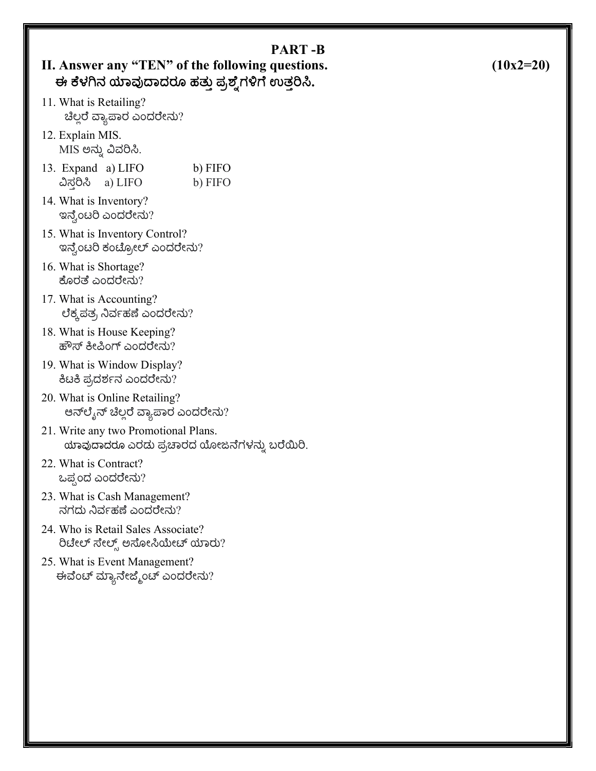| II. Answer any "TEN" of the following questions.<br>ಈ ಕೆಳಗಿನ ಯಾವುದಾದರೂ ಹತ್ತು ಪ್ರಶ್ನೆಗಳಿಗೆ ಉತ್ತರಿಸಿ. | <b>PART-B</b>      | $(10x2=20)$ |
|-----------------------------------------------------------------------------------------------------|--------------------|-------------|
| 11. What is Retailing?<br>ಚೆಲ್ಲರೆ ವ್ಯಾಪಾರ ಎಂದರೇನು?                                                  |                    |             |
| 12. Explain MIS.<br>MIS ಅನ್ನು ವಿವರಿಸಿ.                                                              |                    |             |
| 13. Expand a) LIFO<br>ವಿಸ್ತರಿಸಿ<br>a) LIFO                                                          | b) FIFO<br>b) FIFO |             |
| 14. What is Inventory?<br>ಇನ್ವೆಂಟರಿ ಎಂದರೇನು?                                                        |                    |             |
| 15. What is Inventory Control?<br>ಇನ್ವೆಂಟರಿ ಕಂಟ್ರೋಲ್ ಎಂದರೇನು?                                       |                    |             |
| 16. What is Shortage?<br>ಕೊರತೆ ಎಂದರೇನು?                                                             |                    |             |
| 17. What is Accounting?<br>ಲೆಕ್ಕಪತ್ರ ನಿರ್ವಹಣೆ ಎಂದರೇನು?                                              |                    |             |
| 18. What is House Keeping?<br>ಹೌಸ್ ಕೀಪಿಂಗ್ ಎಂದರೇನು?                                                 |                    |             |
| 19. What is Window Display?<br>ಕಿಟಕಿ ಪ್ರದರ್ಶನ ಎಂದರೇನು?                                              |                    |             |
| 20. What is Online Retailing?<br>ಆನ್ $\mathfrak{G}_3$ ನ್ ಚೆಲ್ಲರೆ ವ್ಯಾಪಾರ ಎಂದರೇನು?                   |                    |             |
| 21. Write any two Promotional Plans.<br>ಯಾವುದಾದರೂ ಎರಡು ಪ್ರಚಾರದ ಯೋಜನೆಗಳನ್ನು ಬರೆಯಿರಿ.                 |                    |             |
| 22. What is Contract?<br>ಒಪ್ಪಂದ ಎಂದರೇನು?                                                            |                    |             |
| 23. What is Cash Management?<br>ನಗದು ನಿರ್ವಹಣೆ ಎಂದರೇನು?                                              |                    |             |
| 24. Who is Retail Sales Associate?<br>ರಿಟೇಲ್ ಸೇಲ್ಸ್ ಅಸೋಸಿಯೇಟ್ ಯಾರು?                                 |                    |             |
| 25. What is Event Management?<br>ಈವೆಂಟ್ ಮ್ಯಾನೇಜ್ಮೆಂಟ್ ಎಂದರೇನು?                                      |                    |             |
|                                                                                                     |                    |             |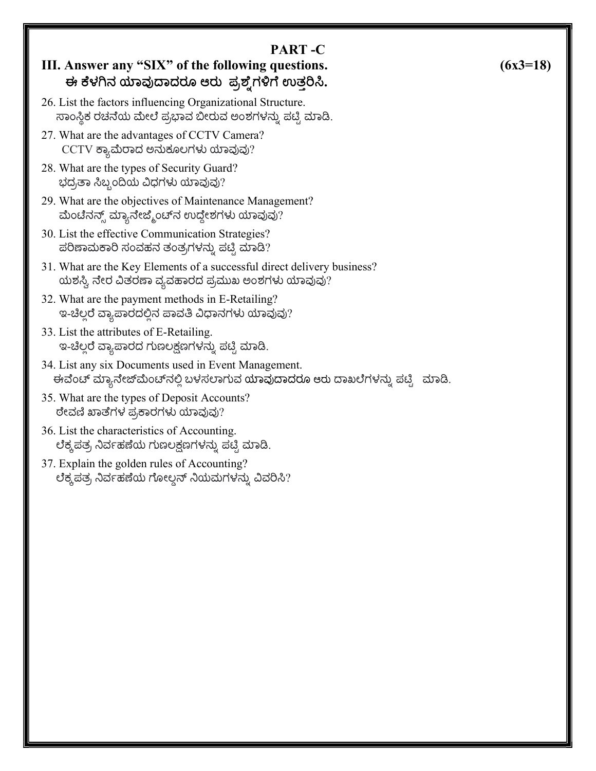| n<br>٠<br>ш<br>۱N<br>v. |  |
|-------------------------|--|
|-------------------------|--|

# III. Answer any "SIX" of the following questions. ಈ ಕೆಳಗಿನ ಯಾವುದಾದರೂ ಆರು ಪ್ರಶ್ನೆಗಳಿಗೆ ಉತರಿಸಿ.

- 26. List the factors influencing Organizational Structure. ಸಾಂಸ್ಥಿಕ ರಚನೆಯ ಮೇಲೆ ಪ್ರಭಾವ ಬೀರುವ ಅಂಶಗಳನ್ನು ಪಟ್ಟಿ ಮಾಡಿ.
- 27. What are the advantages of CCTV Camera? CCTV ಕ್ಯಾಮೆರಾದ ಅನುಕೂಲಗಳು ಯಾವುವು?
- 28. What are the types of Security Guard? ಭದ್ರತಾ ಸಿಬ್ಬಂದಿಯ ವಿಧಗಳು ಯಾವುವು?
- 29. What are the objectives of Maintenance Management? ಮೆಂಟೆನನ್ಸ್ ಮ್ಯಾನೇಜ್ಮೆಂಟ್ನ ಉದ್ದೇಶಗಳು ಯಾವುವು?
- 30. List the effective Communication Strategies? ಪರಿಣಾಮಕಾರಿ ಸಂವಹನ ತಂತ್ರಗಳನ್ನು ಪಟ್ಟಿ ಮಾಡಿ?
- 31. What are the Key Elements of a successful direct delivery business? ಯಶಸ್ವಿ ನೇರ ವಿತರಣಾ ವ್ಯವಹಾರದ ಪ್ರಮುಖ ಅಂಶಗಳು ಯಾವುವು?
- 32. What are the payment methods in E-Retailing? ಇ-ಚೆಲ್ಲರೆ ವ್ಯಾಪಾರದಲ್ಲಿನ ಪಾವತಿ ವಿಧಾನಗಳು ಯಾವುವು?
- 33. List the attributes of E-Retailing. ಇ-ಚಿಲ್ಲರೆ ವ್ಯಾಪಾರದ ಗುಣಲಕ್ಷಣಗಳನ್ನು ಪಟ್ಟಿ ಮಾಡಿ.
- 34. List any six Documents used in Event Management. ಈವೆಂಟ್ ಮ್ಯಾನೇಜ್ಮೆಂಟ್ನಲ್ಲಿ ಬಳಸಲಾಗುವ ಯಾವುದಾದರೂ ಆರು ದಾಖಲೆಗಳನ್ನು ಪಟ್ಟಿ ಮಾಡಿ.
- 35. What are the types of Deposit Accounts? ರೇವಣಿ ಖಾತೆಗಳ ಪ್ರಕಾರಗಳು ಯಾವುವು?
- 36. List the characteristics of Accounting. ಲೆಕ್ಕಪತ್ರ ನಿರ್ವಹಣೆಯ ಗುಣಲಕ್ಷಣಗಳನ್ನು ಪಟ್ಟಿ ಮಾಡಿ.
- 37. Explain the golden rules of Accounting? ಲೆಕ್ಕಪತ್ರ ನಿರ್ವಹಣೆಯ ಗೋಲ್ಡನ್ ನಿಯಮಗಳನ್ನು ವಿವರಿಸಿ?

### $(6x3=18)$